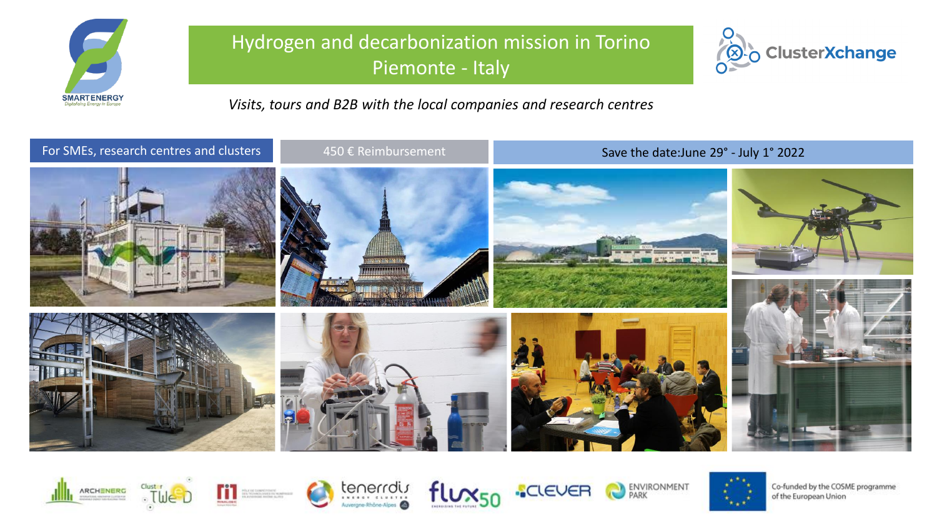

## Hydrogen and decarbonization mission in Torino Piemonte - Italy



*Visits, tours and B2B with the local companies and research centres*